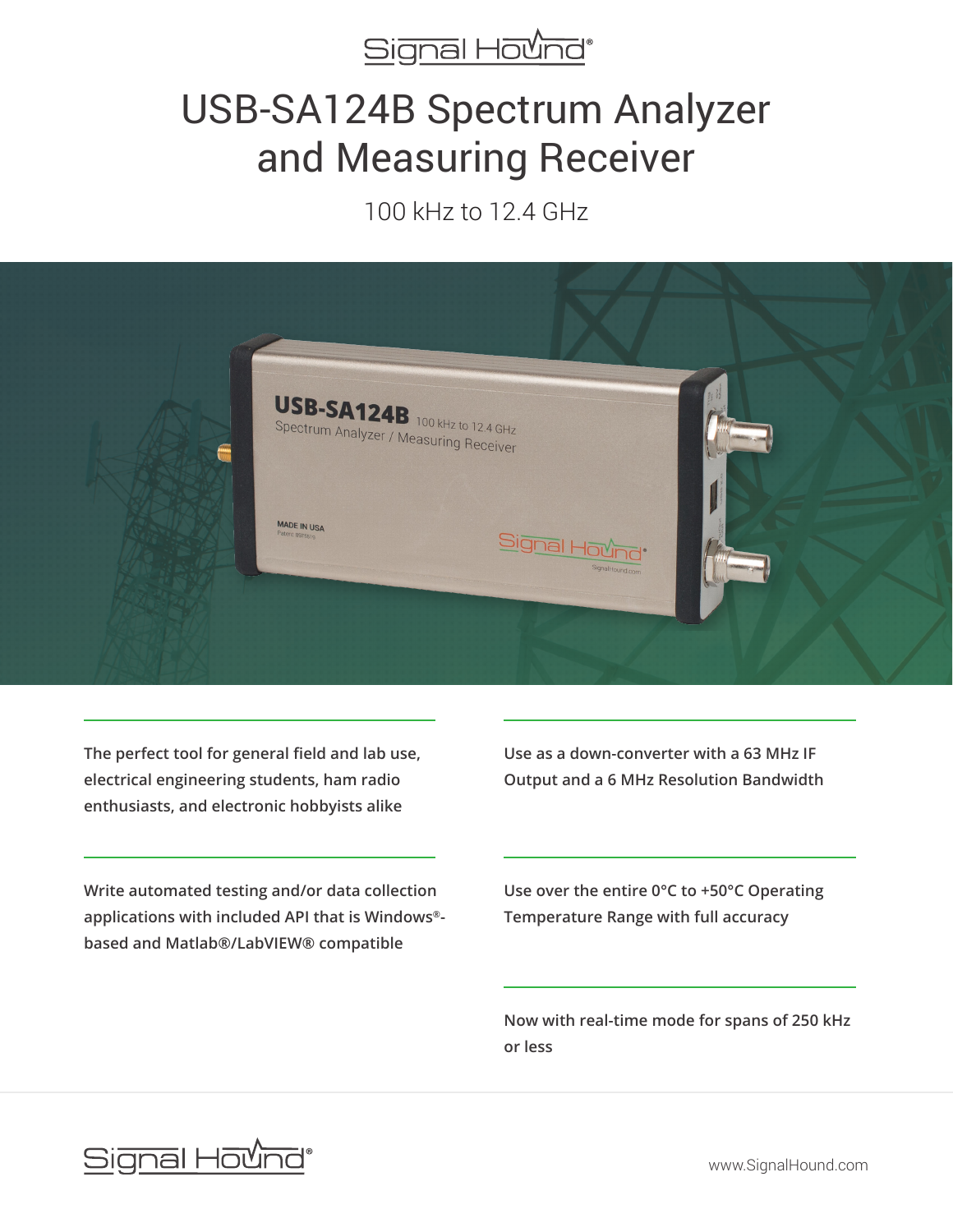

# USB-SA124B Spectrum Analyzer and Measuring Receiver

100 kHz to 12.4 GHz



**The perfect tool for general field and lab use, electrical engineering students, ham radio enthusiasts, and electronic hobbyists alike**

**Write automated testing and/or data collection applications with included API that is Windows® based and Matlab®/LabVIEW® compatible**

**Use as a down-converter with a 63 MHz IF Output and a 6 MHz Resolution Bandwidth**

**Use over the entire 0°C to +50°C Operating Temperature Range with full accuracy**

**Now with real-time mode for spans of 250 kHz or less**